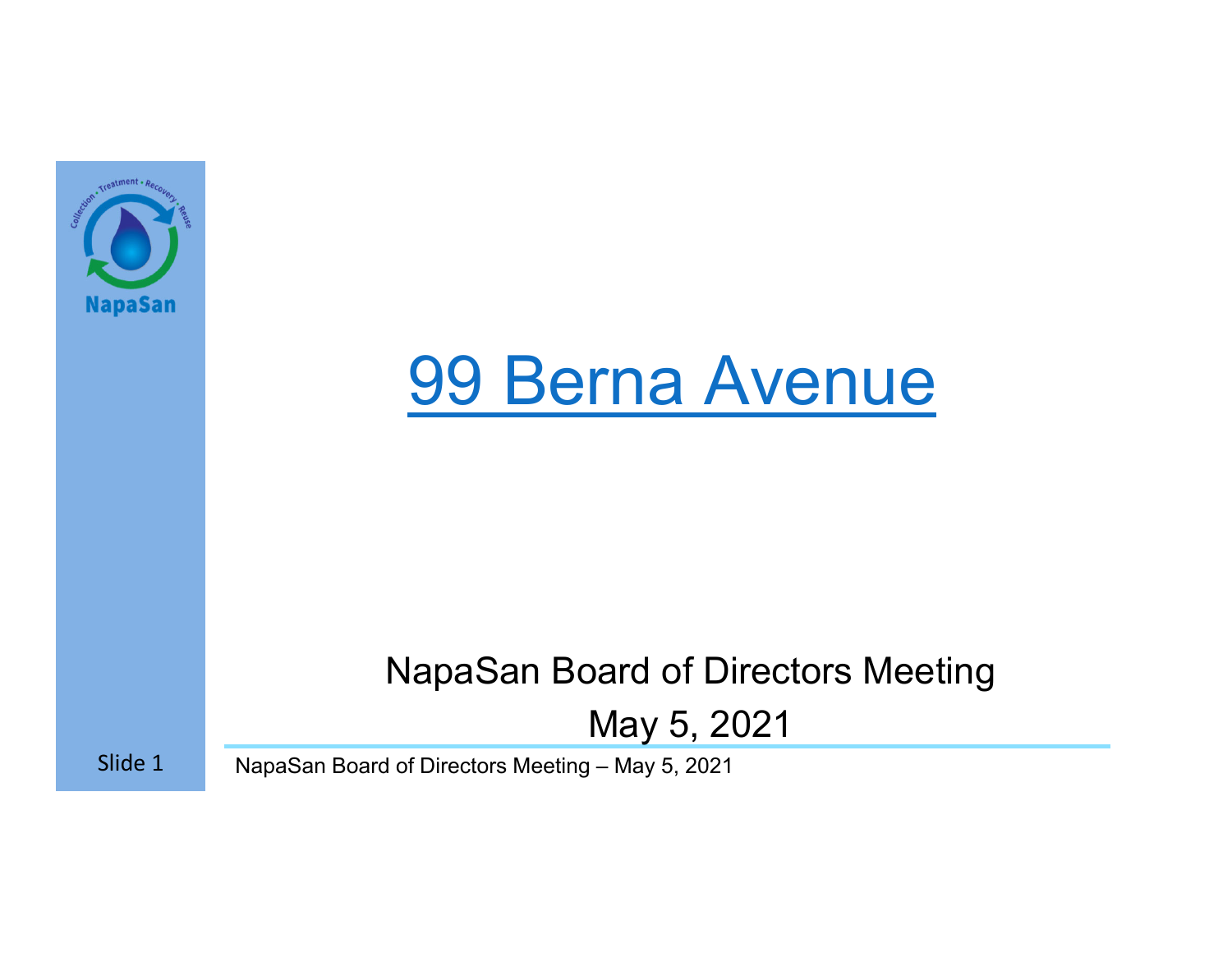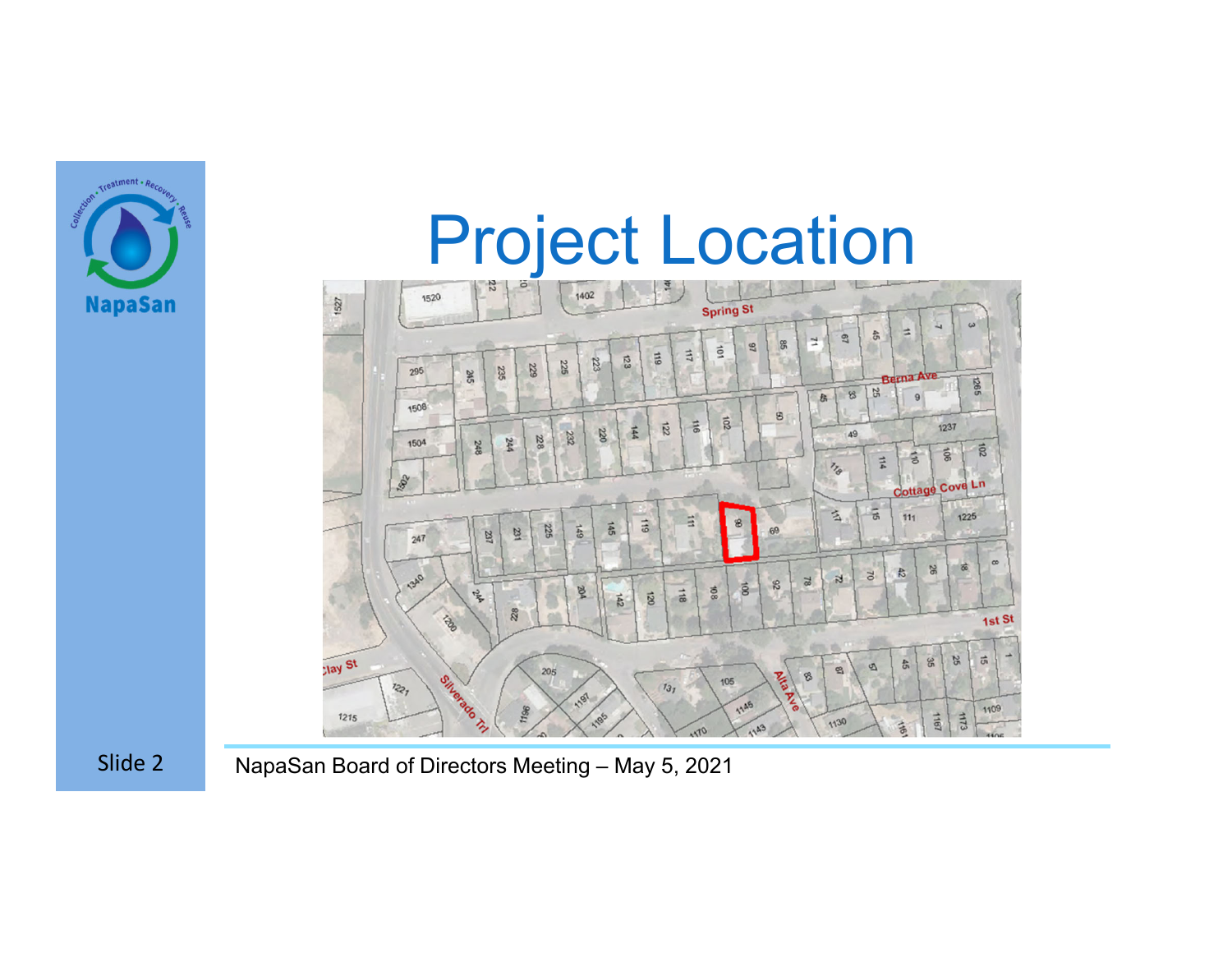

### Project Location



Slide 2 NapaSan Board of Directors Meeting – May 5, 2021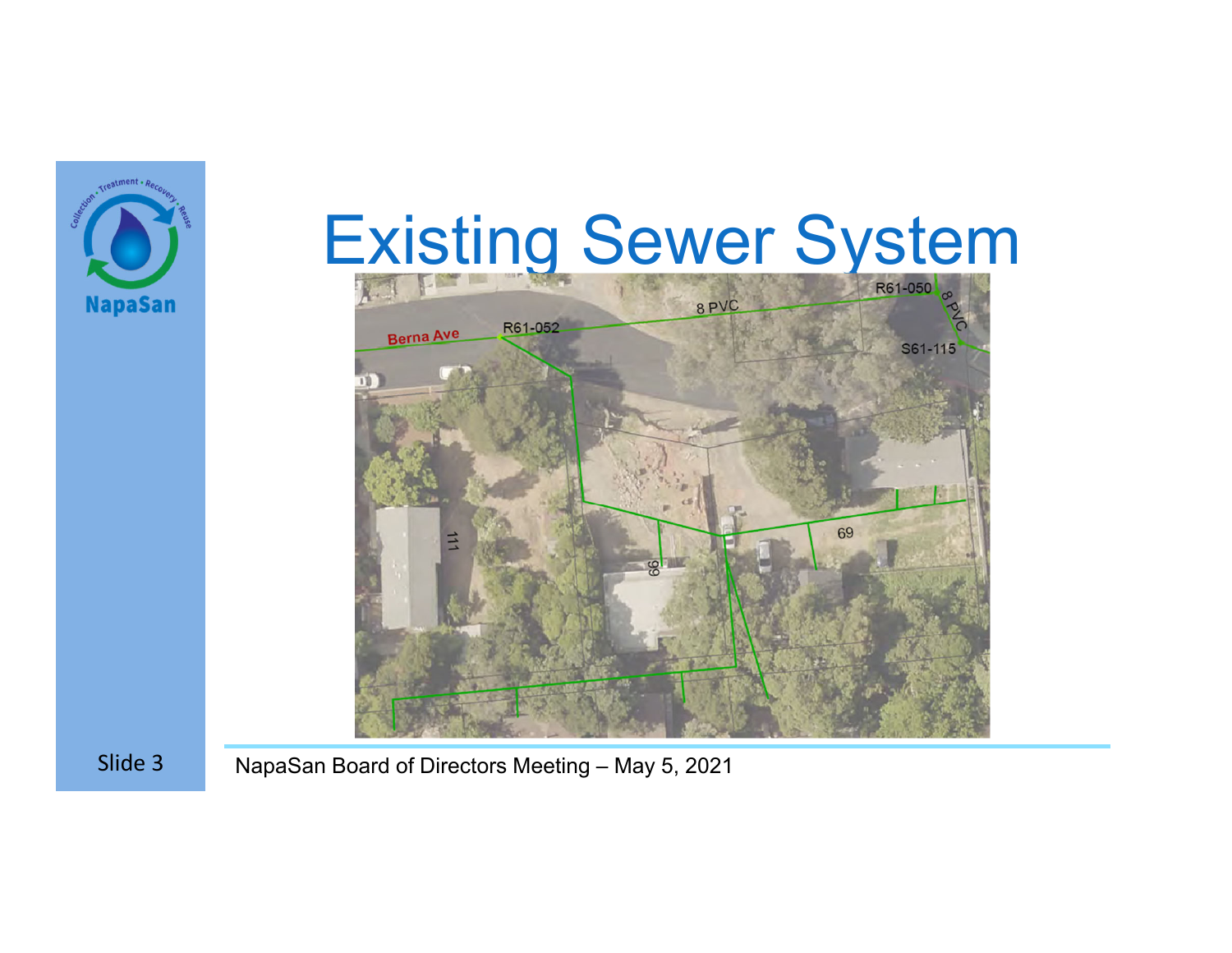# Existing Sewer System





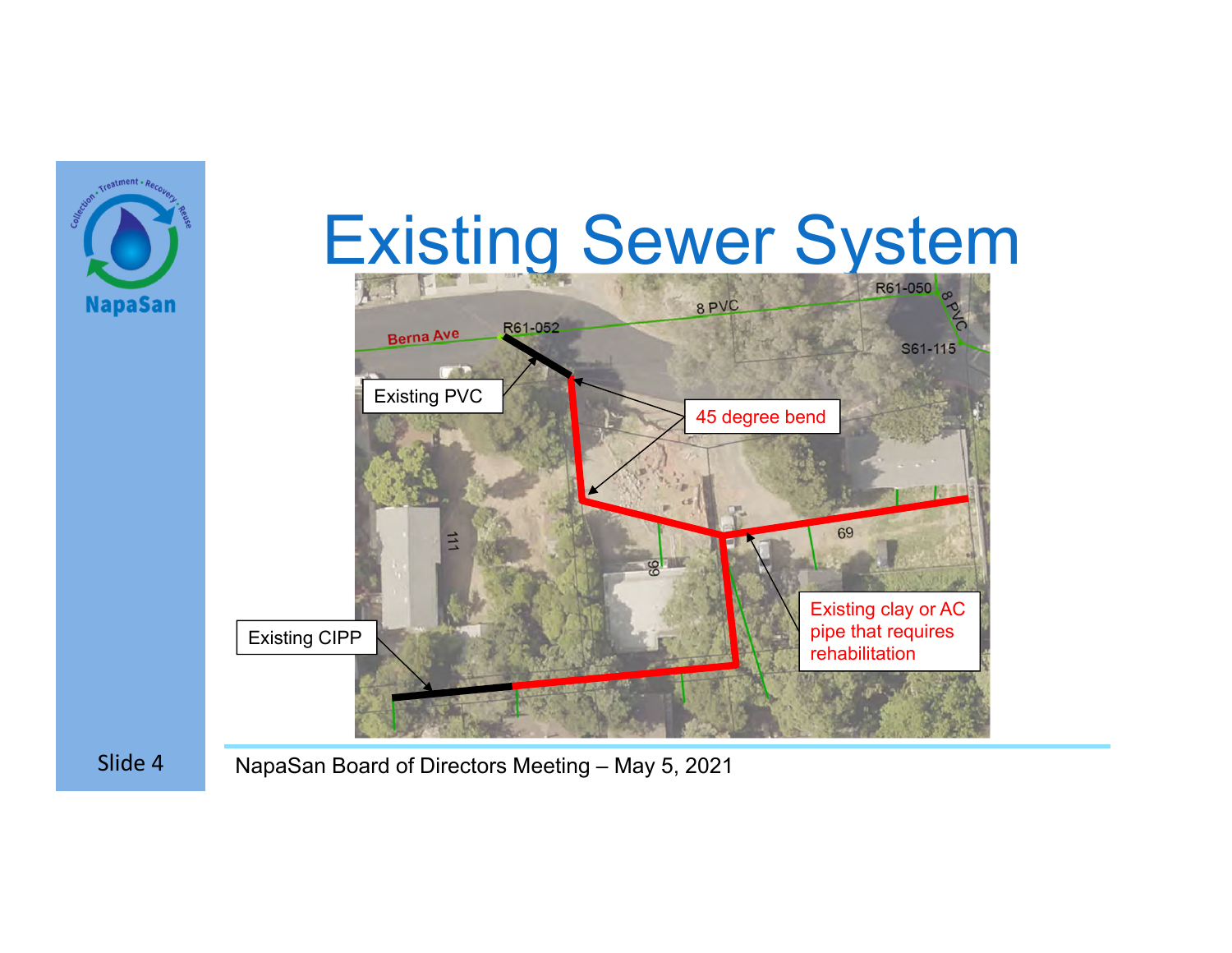

Slide 4 NapaSan Board of Directors Meeting – May 5, 2021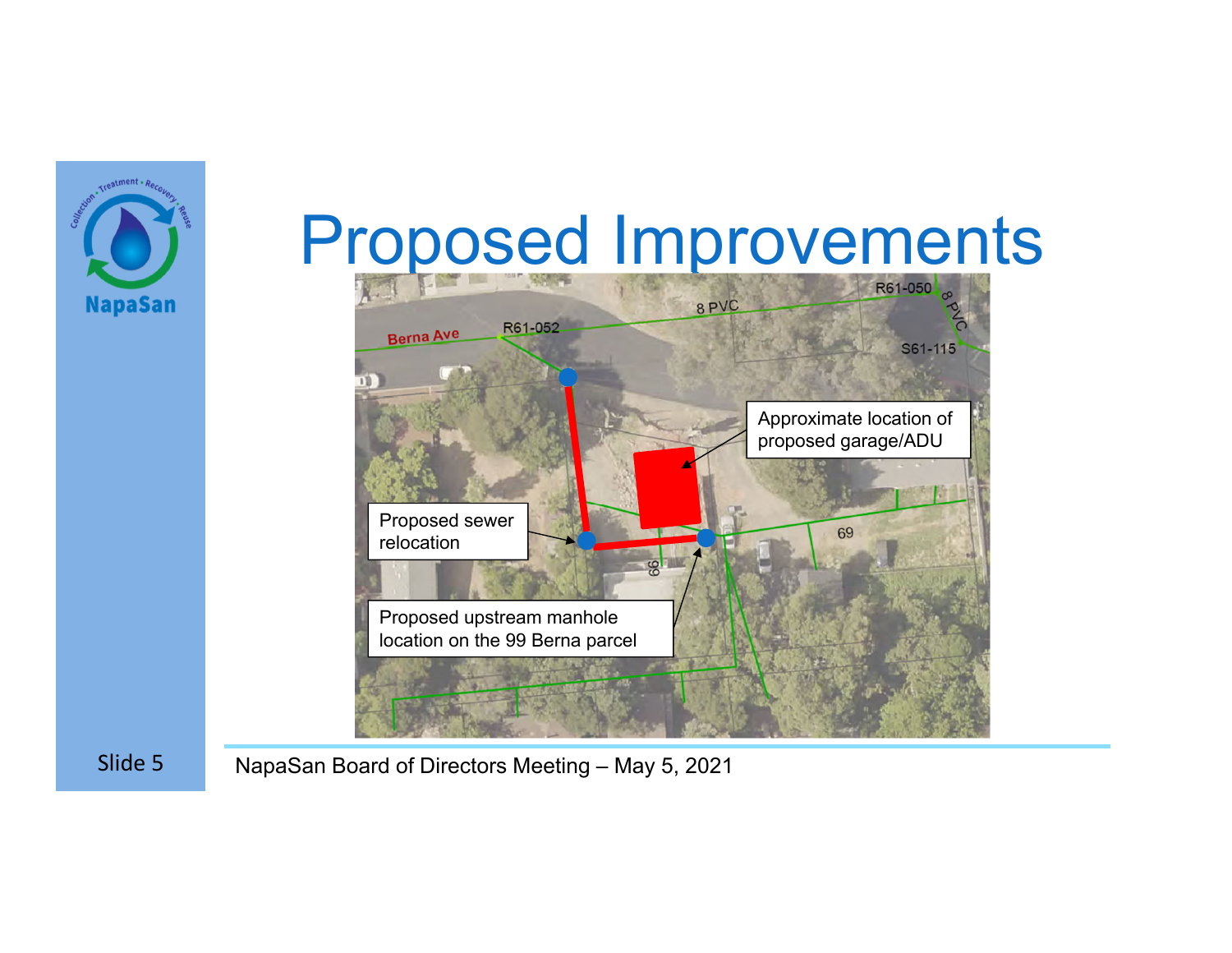

## Proposed Improvements



Slide 5 NapaSan Board of Directors Meeting – May 5, 2021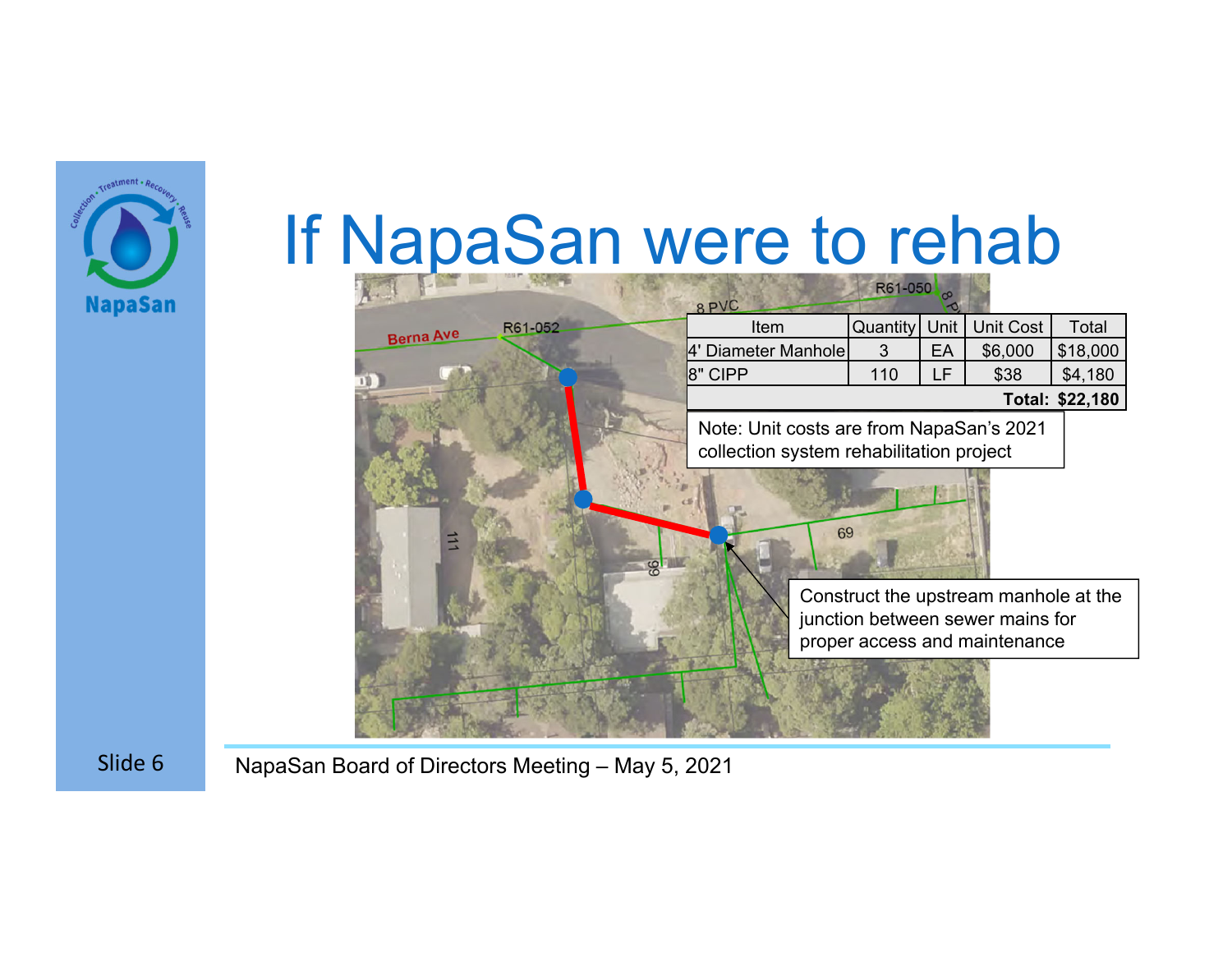

### If NapaSan were to rehab

|                             | 8 PVC                                                                                | R61-050  |      |                                                                                                            |          |
|-----------------------------|--------------------------------------------------------------------------------------|----------|------|------------------------------------------------------------------------------------------------------------|----------|
| R61-052<br><b>Berna Ave</b> | Item                                                                                 | Quantity | Unit | Unit Cost                                                                                                  | Total    |
|                             | Diameter Manhole                                                                     | 3        | EA   | \$6,000                                                                                                    | \$18,000 |
|                             | 8" CIPP                                                                              | 110      | LF   | \$38                                                                                                       | \$4,180  |
|                             | Total: \$22,180                                                                      |          |      |                                                                                                            |          |
|                             | Note: Unit costs are from NapaSan's 2021<br>collection system rehabilitation project |          |      |                                                                                                            |          |
| 立<br>$\frac{6}{5}$          | 69                                                                                   |          |      |                                                                                                            |          |
|                             |                                                                                      |          |      | Construct the upstream manhole at the<br>junction between sewer mains for<br>proper access and maintenance |          |
|                             |                                                                                      |          |      |                                                                                                            |          |

Slide 6 NapaSan Board of Directors Meeting – May 5, 2021